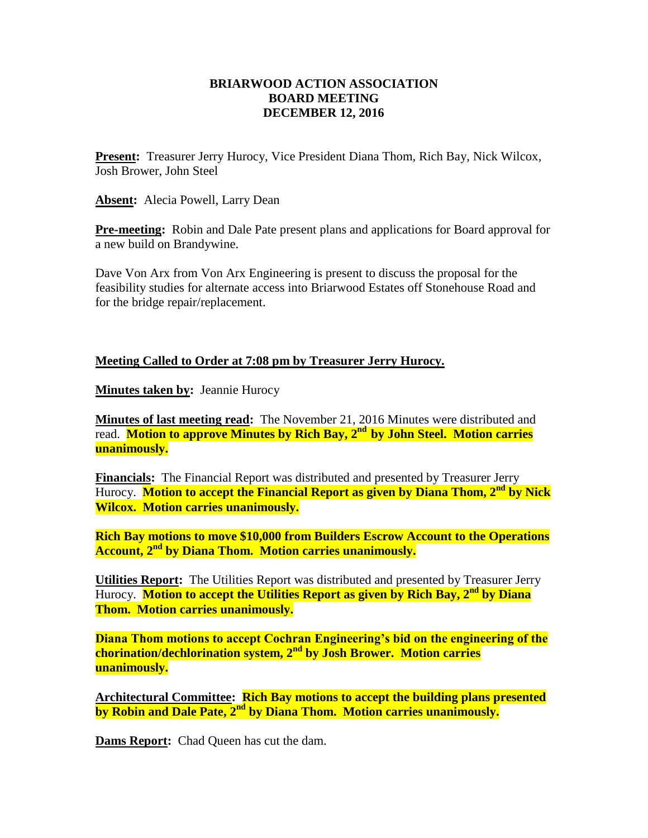## **BRIARWOOD ACTION ASSOCIATION BOARD MEETING DECEMBER 12, 2016**

**Present:** Treasurer Jerry Hurocy, Vice President Diana Thom, Rich Bay, Nick Wilcox, Josh Brower, John Steel

**Absent:** Alecia Powell, Larry Dean

**Pre-meeting:** Robin and Dale Pate present plans and applications for Board approval for a new build on Brandywine.

Dave Von Arx from Von Arx Engineering is present to discuss the proposal for the feasibility studies for alternate access into Briarwood Estates off Stonehouse Road and for the bridge repair/replacement.

## **Meeting Called to Order at 7:08 pm by Treasurer Jerry Hurocy.**

**Minutes taken by: Jeannie Hurocy** 

**Minutes of last meeting read:** The November 21, 2016 Minutes were distributed and read. **Motion to approve Minutes by Rich Bay, 2nd by John Steel. Motion carries unanimously.**

**Financials:** The Financial Report was distributed and presented by Treasurer Jerry Hurocy. **Motion to accept the Financial Report as given by Diana Thom, 2nd by Nick Wilcox. Motion carries unanimously.**

**Rich Bay motions to move \$10,000 from Builders Escrow Account to the Operations Account, 2nd by Diana Thom. Motion carries unanimously.**

**Utilities Report:** The Utilities Report was distributed and presented by Treasurer Jerry Hurocy. **Motion to accept the Utilities Report as given by Rich Bay, 2nd by Diana Thom. Motion carries unanimously.**

**Diana Thom motions to accept Cochran Engineering's bid on the engineering of the chorination/dechlorination system, 2nd by Josh Brower. Motion carries unanimously.**

**Architectural Committee: Rich Bay motions to accept the building plans presented by Robin and Dale Pate, 2nd by Diana Thom. Motion carries unanimously.**

**Dams Report:** Chad Queen has cut the dam.